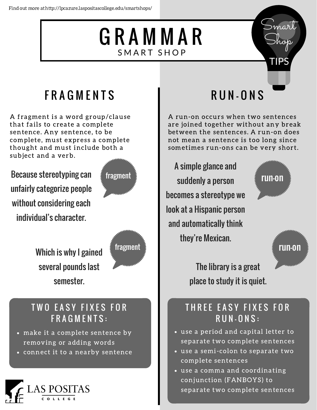## G R A M M A R SMART SHOP



### **FRAGMENTS**

A fragment is a word group/clause that fails to create a complete sentence. Any sentence, to be complete, must express a complete thought and must include both a subject and a verb.

Because stereotyping can  $\frac{1}{5}$  fragment unfairly categorize people without considering each individual's character.



Which is why I gained  $\frac{1}{2}$  fragment several pounds last semester.



### TWO EASY FIXES FOR F R A G M E N T S :

- make it a complete sentence by removing or adding words
- **·** connect it to a nearby sentence



# R U N - O N S

A run-on occurs when two sentences are joined together without any break between the sentences. A run-on does not mean a sentence is too long since sometimes run-ons can be very short.

A simple glance and suddenly a person becomes a stereotype we look at a Hispanic person and automatically think they're Mexican.



run-on

The library is a great place to study it is quiet.

#### THREE EASY FIXES FOR  $\overline{R}\overline{UN}$  -  $\overline{ON}$   $S$  :

- use a period and capital letter to separate two complete sentences
- use a semi-colon to separate two complete sentences
- use a comma and coordinating conjunction (FANBOYS) to separate two complete sentences